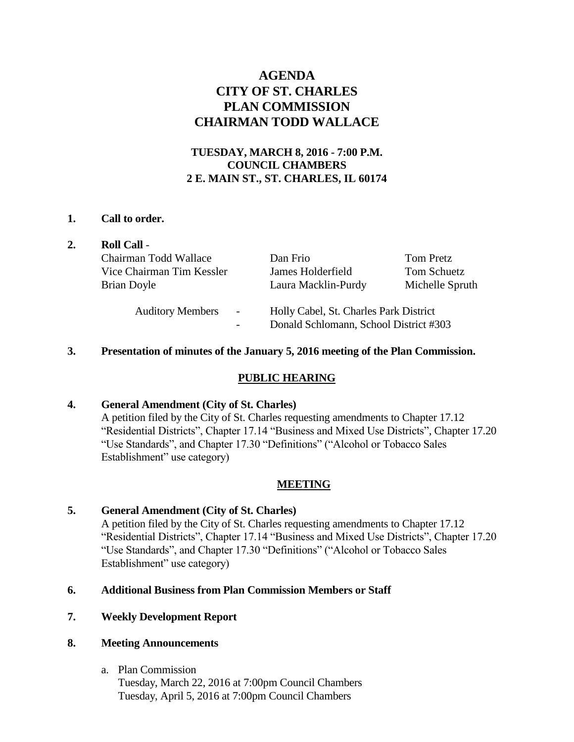# **AGENDA CITY OF ST. CHARLES PLAN COMMISSION CHAIRMAN TODD WALLACE**

## **TUESDAY, MARCH 8, 2016 - 7:00 P.M. COUNCIL CHAMBERS 2 E. MAIN ST., ST. CHARLES, IL 60174**

#### **1. Call to order.**

| 2. | <b>Roll Call -</b>                                                              |                                                                                  |                  |
|----|---------------------------------------------------------------------------------|----------------------------------------------------------------------------------|------------------|
|    | Chairman Todd Wallace                                                           | Dan Frio                                                                         | <b>Tom Pretz</b> |
|    | Vice Chairman Tim Kessler                                                       | James Holderfield                                                                | Tom Schuetz      |
|    | Brian Doyle                                                                     | Laura Macklin-Purdy                                                              | Michelle Spruth  |
|    | <b>Auditory Members</b><br>$\overline{\phantom{a}}$<br>$\overline{\phantom{a}}$ | Holly Cabel, St. Charles Park District<br>Donald Schlomann, School District #303 |                  |

#### **3. Presentation of minutes of the January 5, 2016 meeting of the Plan Commission.**

#### **PUBLIC HEARING**

#### **4. General Amendment (City of St. Charles)**

A petition filed by the City of St. Charles requesting amendments to Chapter 17.12 "Residential Districts", Chapter 17.14 "Business and Mixed Use Districts", Chapter 17.20 "Use Standards", and Chapter 17.30 "Definitions" ("Alcohol or Tobacco Sales Establishment" use category)

#### **MEETING**

### **5. General Amendment (City of St. Charles)**

A petition filed by the City of St. Charles requesting amendments to Chapter 17.12 "Residential Districts", Chapter 17.14 "Business and Mixed Use Districts", Chapter 17.20 "Use Standards", and Chapter 17.30 "Definitions" ("Alcohol or Tobacco Sales Establishment" use category)

### **6. Additional Business from Plan Commission Members or Staff**

#### **7. Weekly Development Report**

#### **8. Meeting Announcements**

a. Plan Commission Tuesday, March 22, 2016 at 7:00pm Council Chambers Tuesday, April 5, 2016 at 7:00pm Council Chambers